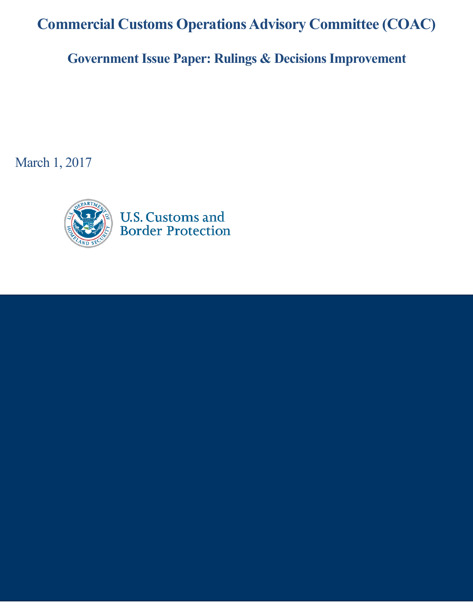**Commercial Customs Operations Advisory Committee (COAC)**

**Government Issue Paper: Rulings & Decisions Improvement**

March 1, 2017

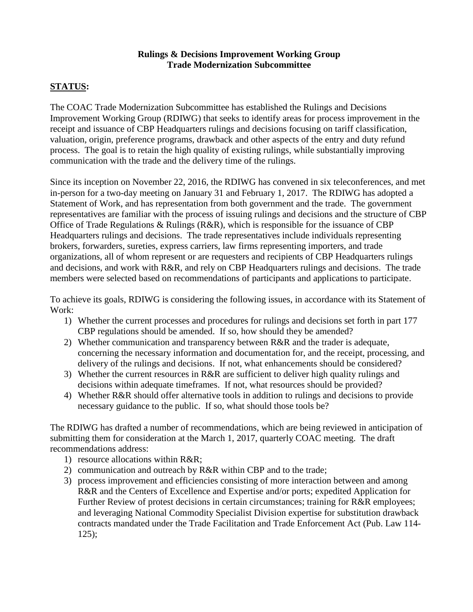## **Rulings & Decisions Improvement Working Group Trade Modernization Subcommittee**

## **STATUS:**

The COAC Trade Modernization Subcommittee has established the Rulings and Decisions Improvement Working Group (RDIWG) that seeks to identify areas for process improvement in the receipt and issuance of CBP Headquarters rulings and decisions focusing on tariff classification, valuation, origin, preference programs, drawback and other aspects of the entry and duty refund process. The goal is to retain the high quality of existing rulings, while substantially improving communication with the trade and the delivery time of the rulings.

Since its inception on November 22, 2016, the RDIWG has convened in six teleconferences, and met in-person for a two-day meeting on January 31 and February 1, 2017. The RDIWG has adopted a Statement of Work, and has representation from both government and the trade. The government representatives are familiar with the process of issuing rulings and decisions and the structure of CBP Office of Trade Regulations  $\&$  Rulings (R&R), which is responsible for the issuance of CBP Headquarters rulings and decisions. The trade representatives include individuals representing brokers, forwarders, sureties, express carriers, law firms representing importers, and trade organizations, all of whom represent or are requesters and recipients of CBP Headquarters rulings and decisions, and work with R&R, and rely on CBP Headquarters rulings and decisions. The trade members were selected based on recommendations of participants and applications to participate.

To achieve its goals, RDIWG is considering the following issues, in accordance with its Statement of Work:

- 1) Whether the current processes and procedures for rulings and decisions set forth in part 177 CBP regulations should be amended. If so, how should they be amended?
- 2) Whether communication and transparency between R&R and the trader is adequate, concerning the necessary information and documentation for, and the receipt, processing, and delivery of the rulings and decisions. If not, what enhancements should be considered?
- 3) Whether the current resources in R&R are sufficient to deliver high quality rulings and decisions within adequate timeframes. If not, what resources should be provided?
- 4) Whether R&R should offer alternative tools in addition to rulings and decisions to provide necessary guidance to the public. If so, what should those tools be?

The RDIWG has drafted a number of recommendations, which are being reviewed in anticipation of submitting them for consideration at the March 1, 2017, quarterly COAC meeting. The draft recommendations address:

- 1) resource allocations within R&R;
- 2) communication and outreach by R&R within CBP and to the trade;
- 3) process improvement and efficiencies consisting of more interaction between and among R&R and the Centers of Excellence and Expertise and/or ports; expedited Application for Further Review of protest decisions in certain circumstances; training for R&R employees; and leveraging National Commodity Specialist Division expertise for substitution drawback contracts mandated under the Trade Facilitation and Trade Enforcement Act (Pub. Law 114- 125);